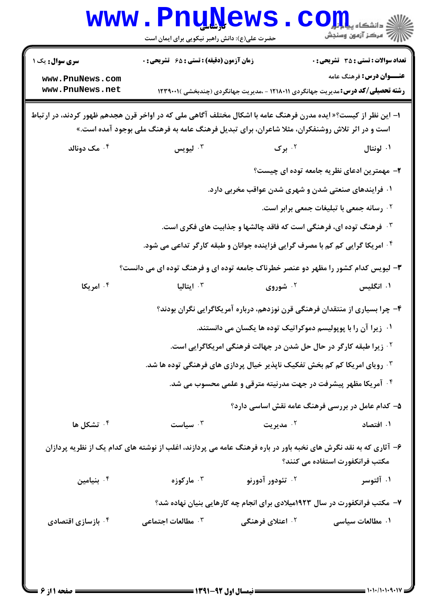|                                    | <b>www.PnuNews</b><br>حضرت علی(ع): دانش راهبر نیکویی برای ایمان است                                                                                                                                             |                              | COIL dépuis<br>رآ - مرڪز آزمون وسنڊش                                                                                        |
|------------------------------------|-----------------------------------------------------------------------------------------------------------------------------------------------------------------------------------------------------------------|------------------------------|-----------------------------------------------------------------------------------------------------------------------------|
| سری سوال: یک ۱                     | <b>زمان آزمون (دقیقه) : تستی : 65 ٪ تشریحی : 0</b>                                                                                                                                                              |                              | <b>تعداد سوالات : تستی : 35 - تشریحی : 0</b>                                                                                |
| www.PnuNews.com<br>www.PnuNews.net |                                                                                                                                                                                                                 |                              | <b>عنـــوان درس:</b> فرهنگ عامه<br><b>رشته تحصیلی/کد درس:</b> مدیریت جهانگردی ۱۲۱۸۰۱۱ - ،مدیریت جهانگردی (چندبخشی )۲۳۹۰۰۱ ( |
|                                    | ا– این نظر از کیست؟« ایده مدرن فرهنگ عامه با اشکال مختلف آگاهی ملی که در اواخر قرن هجدهم ظهور کردند، در ارتباط<br>است و در اثر تلاش روشنفکران، مثلا شاعران، برای تبدیل فرهنگ عامه به فرهنگ ملی بوجود آمده است.» |                              |                                                                                                                             |
| ۰۴ مک دونالد                       | ليويس $\cdot^{\mathsf{v}}$                                                                                                                                                                                      | ۰۲ برگ                       | ۰۱ لونتال                                                                                                                   |
|                                    |                                                                                                                                                                                                                 |                              | ۲– مهمترین ادعای نظریه جامعه توده ای چیست؟                                                                                  |
|                                    |                                                                                                                                                                                                                 |                              | ۰۱ فرایندهای صنعتی شدن و شهری شدن عواقب مخربی دارد.                                                                         |
|                                    |                                                                                                                                                                                                                 |                              | ۰۲ رسانه جمعی با تبلیغات جمعی برابر است.                                                                                    |
|                                    |                                                                                                                                                                                                                 |                              | <b>۰۳ فرهنگ توده ای، فرهنگی است که فاقد چالشها و جذابیت های فکری است.</b>                                                   |
|                                    | <sup>۰۴</sup> امریکا گرایی کم کم با مصرف گرایی فزاینده جوانان و طبقه کارگر تداعی می شود.                                                                                                                        |                              |                                                                                                                             |
|                                    | ۳- لیویس کدام کشور را مظهر دو عنصر خطرناک جامعه توده ای و فرهنگ توده ای می دانست؟                                                                                                                               |                              |                                                                                                                             |
| ۰۴ امریکا                          | ايتاليا $\cdot$                                                                                                                                                                                                 | ۰۲ شوروی                     | ۰۱ انگلیس                                                                                                                   |
|                                    |                                                                                                                                                                                                                 |                              | ۴– چرا بسیاری از منتقدان فرهنگی قرن نوزدهم، درباره آمریکاگرایی نگران بودند؟                                                 |
|                                    |                                                                                                                                                                                                                 |                              | ۰۱ زیرا آن را با پوپولیسم دموکراتیک توده ها یکسان می دانستند.                                                               |
|                                    |                                                                                                                                                                                                                 |                              | <sup>۲</sup> ۰ زیرا طبقه کارگر در حال حل شدن در جهالت فرهنگی امریکاگرایی است.                                               |
|                                    | ۰ <sup>۳</sup> رویای امریکا کم کم بخش تفکیک ناپذیر خیال پردازی های فرهنگی توده ها شد.                                                                                                                           |                              |                                                                                                                             |
|                                    |                                                                                                                                                                                                                 |                              | ۰ <sup>۴</sup> آمریکا مظهر پیشرفت در جهت مدرنیته مترقی و علمی محسوب می شد.                                                  |
|                                    |                                                                                                                                                                                                                 |                              | ۵– کدام عامل در بررسی فرهنگ عامه نقش اساسی دارد؟                                                                            |
| تشكل ها $\cdot$ *                  | سياست $\cdot^{\mathsf{r}}$                                                                                                                                                                                      | ۰۲ مدیریت                    | ۰۱ افتصاد                                                                                                                   |
|                                    | ۶– آثاری که به نقد نگرش های نخبه باور در باره فرهنگ عامه می پردازند، اغلب از نوشته های کدام یک از نظریه پردازان                                                                                                 |                              | مکتب فرانکفورت استفاده می کنند؟                                                                                             |
| نيامين $\cdot$ ۴                   | ۰ <sup>۳</sup> مارکوزه                                                                                                                                                                                          | ۰ <sup>۲</sup> تئودور آدورنو | ۰۱ آلتوسر                                                                                                                   |
|                                    |                                                                                                                                                                                                                 |                              | ۷- مکتب فرانکفورت در سال ۱۹۲۳میلادی برای انجام چه کارهایی بنیان نهاده شد؟                                                   |
| ۰۴ بازسازی اقتصادی                 | مطالعات اجتماعی $\cdot^{\mathsf{y}}$                                                                                                                                                                            | ۰ <sup>۲</sup> اعتلای فرهنگی | ۰۱ مطالعات سیاسی                                                                                                            |
| ا صفحه 11: ۶ ≡                     |                                                                                                                                                                                                                 |                              |                                                                                                                             |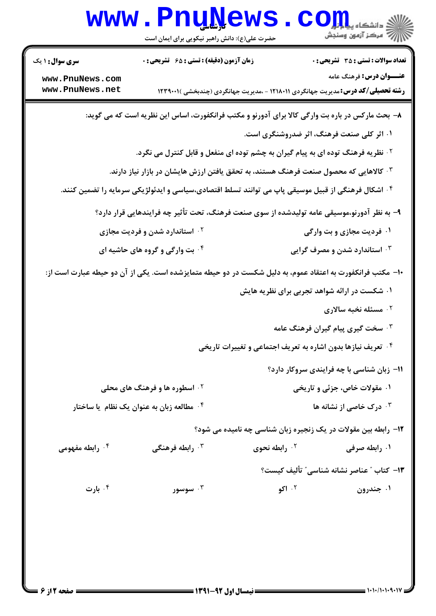|                                                                                                           | <b>www.PnuNews</b><br>حضرت علی(ع): دانش راهبر نیکویی برای ایمان است                                            |                                                                    | کے دانشکاہ پیا ہوا<br>ایک مرکز آزمون وسنجش                                                                                  |
|-----------------------------------------------------------------------------------------------------------|----------------------------------------------------------------------------------------------------------------|--------------------------------------------------------------------|-----------------------------------------------------------------------------------------------------------------------------|
| <b>سری سوال :</b> ۱ یک                                                                                    | زمان آزمون (دقیقه) : تستی : ۶۵ گشریحی : 0                                                                      |                                                                    | <b>تعداد سوالات : تستی : 35 ٪ تشریحی : 0</b>                                                                                |
| www.PnuNews.com<br>www.PnuNews.net                                                                        |                                                                                                                |                                                                    | <b>عنـــوان درس:</b> فرهنگ عامه<br><b>رشته تحصیلی/کد درس:</b> مدیریت جهانگردی ۱۲۱۸۰۱۱ - ،مدیریت جهانگردی (چندبخشی )۲۳۹۰۰۱ ( |
|                                                                                                           | ۸– بحث مارکس در باره بت وارگی کالا برای آدورنو و مکتب فرانکفورت، اساس این نظریه است که می گوید:                |                                                                    |                                                                                                                             |
|                                                                                                           |                                                                                                                |                                                                    | ۰۱ اثر کلی صنعت فرهنگ، اثر ضدروشنگری است.                                                                                   |
|                                                                                                           | <sup>۲ .</sup> نظریه فرهنگ توده ای به پیام گیران به چشم توده ای منفعل و قابل کنترل می نگرد.                    |                                                                    |                                                                                                                             |
|                                                                                                           | ۰۳ کالاهایی که محصول صنعت فرهنگ هستند، به تحقق یافتن ارزش هایشان در بازار نیاز دارند.                          |                                                                    |                                                                                                                             |
|                                                                                                           | <sup>۴ .</sup> اشکال فرهنگی از قبیل موسیقی پاپ می توانند تسلط اقتصادی،سیاسی و ایدئولژیکی سرمایه را تضمین کنند. |                                                                    |                                                                                                                             |
|                                                                                                           | ۹- به نظر آدورنو،موسیقی عامه تولیدشده از سوی صنعت فرهنگ، تحت تأثیر چه فرایندهایی قرار دارد؟                    |                                                                    |                                                                                                                             |
|                                                                                                           | <b>گ استاندارد شدن و فردیت مجازی</b>                                                                           |                                                                    | ۰۱ فردیت مجازی و بت وارگی                                                                                                   |
| ۰۴ بت وارگی و گروه های حاشیه ای                                                                           |                                                                                                                |                                                                    | ۰۳ استاندارد شدن و مصرف گرایی                                                                                               |
| ∙۱− مکتب فرانکفورت به اعتقاد عموم، به دلیل شکست در دو حیطه متمایزشده است. یکی از آن دو حیطه عبارت است از: |                                                                                                                |                                                                    |                                                                                                                             |
|                                                                                                           |                                                                                                                |                                                                    | ۰۱ شکست در ارائه شواهد تجربی برای نظریه هایش                                                                                |
|                                                                                                           |                                                                                                                |                                                                    | ۰ <sup>۲</sup> مسئله نخبه سالاری                                                                                            |
|                                                                                                           |                                                                                                                |                                                                    | ۰ <sup>۳</sup> سخت گیری پیام گیران فرهنگ عامه                                                                               |
|                                                                                                           |                                                                                                                | <b>گ تعریف نیازها بدون اشاره به تعریف اجتماعی و تغییرات تاریخی</b> |                                                                                                                             |
|                                                                                                           |                                                                                                                |                                                                    | <b>۱۱- زبان شناسی با چه فرایندی سروکار دارد؟</b>                                                                            |
|                                                                                                           | <sup>۲</sup> ۰ اسطوره ها و فرهنگ های محلی                                                                      |                                                                    | ۰۱ مقولات خاص، جزئی و تاریخی                                                                                                |
|                                                                                                           | ۰۴ مطالعه زبان به عنوان یک نظام  یا ساختار   *                                                                 |                                                                    | ۰ <sup>۳</sup> درک خاصی از نشانه ها                                                                                         |
|                                                                                                           |                                                                                                                |                                                                    | 12- رابطه بین مقولات در یک زنجیره زبان شناسی چه نامیده می شود؟                                                              |
| ۰۴ رابطه مفهومی                                                                                           | ا رابطه فرهنگی $\cdot^{\mathsf{y}}$                                                                            | ۰ <sup>۲</sup> رابطه نحوی                                          | ۰۱ رابطه صرفی                                                                                                               |
|                                                                                                           |                                                                                                                |                                                                    | 1۳- كتاب ″ عناصر نشانه شناسي″ تأليف كيست؟                                                                                   |
| ۰۴ بارت                                                                                                   | ۰۳ سوسور                                                                                                       | ۰۲ اکو                                                             | ۰۱ جندرون                                                                                                                   |
|                                                                                                           |                                                                                                                |                                                                    |                                                                                                                             |
|                                                                                                           |                                                                                                                |                                                                    |                                                                                                                             |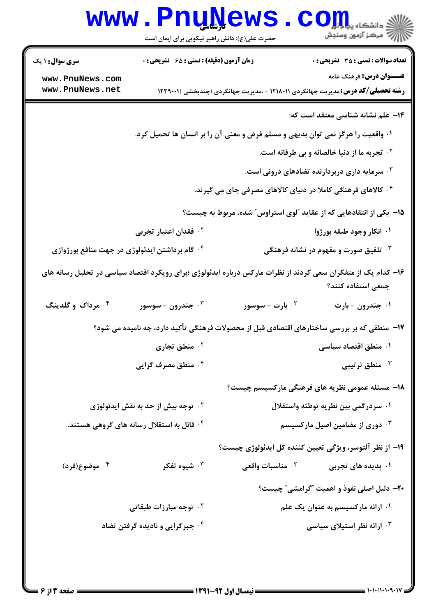|                                                | www.PnuNews                                    |                                                                                                               | الاد دانشگاه پیا و <mark>رو</mark> ل<br>الا مرکز آزمون وسنجش                                 |
|------------------------------------------------|------------------------------------------------|---------------------------------------------------------------------------------------------------------------|----------------------------------------------------------------------------------------------|
|                                                | حضرت علی(ع): دانش راهبر نیکویی برای ایمان است  |                                                                                                               |                                                                                              |
| <b>سری سوال : ۱ یک</b>                         | زمان آزمون (دقیقه) : تستی : ۶۵ گتشریحی : 0     |                                                                                                               | <b>تعداد سوالات : تستی : 35 تشریحی : 0</b>                                                   |
| www.PnuNews.com<br>www.PnuNews.net             |                                                |                                                                                                               | <b>عنـــوان درس:</b> فرهنگ عامه                                                              |
|                                                |                                                |                                                                                                               | <b>رشته تحصیلی/کد درس:</b> مدیریت جهانگردی ۱۲۱۸۰۱۱ - ،مدیریت جهانگردی (چندبخشی )۲۳۹۰۰۱ (     |
|                                                |                                                |                                                                                                               | <b>۱۴</b> علم نشانه شناسی معتقد است که:                                                      |
|                                                |                                                | ۰۱ واقعیت را هرگز نمی توان بدیهی و مسلم فرض و معنی آن را بر انسان ها تحمیل کرد.                               |                                                                                              |
|                                                |                                                |                                                                                                               | <b>10 تجربه ما از دنیا خالصانه و بی طرفانه است.</b>                                          |
|                                                |                                                |                                                                                                               | ۰ <sup>۳</sup> سرمایه داری دربردارنده تضادهای درونی است.                                     |
|                                                |                                                | ۰۴ کالاهای فرهنگی کاملا در دنیای کالاهای مصرفی جای می گیرند.                                                  |                                                                                              |
|                                                |                                                | ۱۵– یکی از انتقادهایی که از عقاید آلوی استراوس ّ شده، مربوط به چیست؟                                          |                                                                                              |
|                                                | ۰ <sup>۲</sup> فقدان اعتبار تجربی              |                                                                                                               | ۰۱ انکار وجود طبقه بورژوا                                                                    |
| ۰۴ گام برداشتن ایدئولوژی در جهت منافع بورژوازی |                                                |                                                                                                               | ۰ <sup>۳ ت</sup> لفیق صورت و مفهوم در نشانه فرهنگی                                           |
|                                                |                                                | ۱۶– کدام یک از متفکران سعی کردند از نظرات مارکس درباره ایدئولوژی ؛برای رویکرد اقتصاد سیاسی در تحلیل رسانه های | جمعی استفاده کنند؟                                                                           |
| ۰ <sup>۴</sup> مرداک و گلدینگ                  | جندرون - سوسور $\cdot^{\mathtt{w}}$            | ۰ <sup>۲</sup> بارت - سوسور                                                                                   | ۰۱ جندرون - بارت                                                                             |
|                                                |                                                |                                                                                                               | ۱۷–  منطقی که بر بررسی ساختارهای اقتصادی قبل از محصولات فرهنگی تأکید دارد، چه نامیده می شود؟ |
|                                                | ۰۲ منطق تجاری                                  |                                                                                                               | ۰۱ منطق اقتصاد سیاسی                                                                         |
|                                                | ۰۴ منطق مصرف گرایی                             |                                                                                                               | شطق ترتيبي $\cdot$                                                                           |
|                                                |                                                |                                                                                                               | <b>۱۸</b> – مسئله عمومی نظریه های فرهنگی مارکسیسم چیست؟                                      |
|                                                | <sup>۲</sup> ۰ توجه بیش از حد به نقش ایدئولوژی |                                                                                                               | ۰۱ سردرگمی بین نظریه توطئه واستقلال                                                          |
|                                                | ۰۴ قائل به استقلال رسانه های گروهی هستند.      |                                                                                                               | ۰ <sup>۳ .</sup> دوری از مضامین اصیل مارکسیسم                                                |
|                                                |                                                |                                                                                                               | ۱۹– از نظر آلتوسر، ویژگی تعیین کننده کل ایدئولوژی چیست؟                                      |
| ۰۴ موضوع(فرد)                                  | شيوه تفكر $\cdot$ "                            | ۰ <sup>۲</sup> مناسبات واقعی                                                                                  | ۰۱ پدیده های تجربی                                                                           |
|                                                |                                                |                                                                                                               | <b>۲۰</b> - دلیل اصلی نفوذ و اهمیت "گرامشی" چیست؟                                            |
|                                                | ۰ <sup>۲</sup> توجه مبارزات طبقاتی             |                                                                                                               | ۰۱ ارائه مارکسیسم به عنوان یک علم                                                            |
|                                                | ۰۴ جبرگرایی و نادیده گرفتن تضاد                |                                                                                                               | ۰۳ ارائه نظر استیلای سیاسی                                                                   |
|                                                |                                                |                                                                                                               |                                                                                              |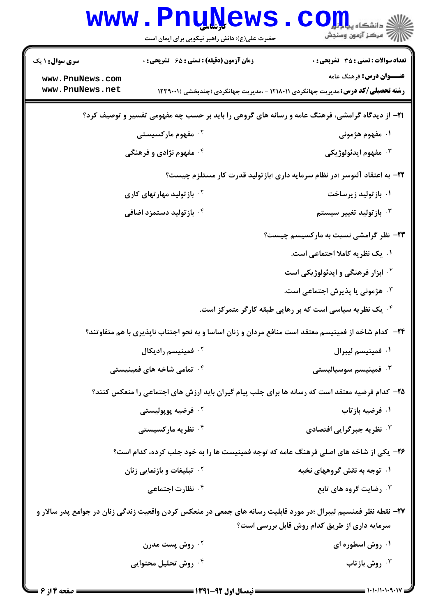|                                    | www.PnuNews<br>حضرت علی(ع): دانش راهبر نیکویی برای ایمان است | الله دانشکاه پیاه <mark>بر</mark><br>الله مرکز آنههن وسنجش                                                                                                     |
|------------------------------------|--------------------------------------------------------------|----------------------------------------------------------------------------------------------------------------------------------------------------------------|
| <b>سری سوال : ۱ یک</b>             | زمان آزمون (دقیقه) : تستی : ۶۵ گشریحی : 0                    | <b>تعداد سوالات : تستی : 35 ٪ تشریحی : 0</b>                                                                                                                   |
| www.PnuNews.com<br>www.PnuNews.net |                                                              | <b>عنـــوان درس:</b> فرهنگ عامه<br><b>رشته تحصیلی/کد درس:</b> مدیریت جهانگردی ۱۲۱۸۰۱۱ - ،مدیریت جهانگردی (چندبخشی )۲۳۹۰۰۱ (                                    |
|                                    |                                                              | <b>۲۱</b> - از دیدگاه گرامشی، فرهنگ عامه و رسانه های گروهی را باید بر حسب چه مفهومی تفسیر و توصیف کرد؟                                                         |
|                                    | ۰ <sup>۲</sup> مفهوم مارکسیستی                               | ۱. مفهوم هژمونی                                                                                                                                                |
|                                    | ۰۴ مفهوم نژادی و فرهنگی                                      | ۰ <sup>۳</sup> مفهوم ايدئولوژيکي                                                                                                                               |
|                                    |                                                              | ۲۲– به اعتقاد آلتوسر ؛در نظام سرمایه داری ؛بازتولید قدرت کار مستلزم چیست؟                                                                                      |
|                                    | <sup>۲</sup> ۰ باز تولید مهار <i>ت</i> های کاری              | ۰۱ بازتولید زیرساخت                                                                                                                                            |
|                                    | ۰ <sup>۴</sup> باز تولید دستمزد اضافی                        | از تولید تغییر سیستم $\cdot^{\texttt{\textsf{y}}}$                                                                                                             |
|                                    |                                                              | ۲۳- نظر گرامشی نسبت به مارکسیسم چیست؟                                                                                                                          |
|                                    |                                                              | ۰۱ یک نظریه کاملا اجتماعی است.                                                                                                                                 |
|                                    |                                                              | <sup>۰۲</sup> ابزار فرهنگی و ایدئولوژیکی است                                                                                                                   |
|                                    |                                                              | ۰ <sup>۳</sup> هژمونی یا پذیرش اجتماعی است.                                                                                                                    |
|                                    |                                                              | ۰۴ یک نظریه سیاسی است که بر رهایی طبقه کارگر متمرکز است.                                                                                                       |
|                                    |                                                              | ۲۴– کدام شاخه از فمینیسم معتقد است منافع مردان و زنان اساسا و به نحو اجتناب ناپذیری با هم متفاوتند؟                                                            |
|                                    | <sup>7</sup> · فمینیسم رادیکال                               | ۰۱ فمينيسم ليبرال                                                                                                                                              |
|                                    | ۰ <sup>۴</sup> تمامی شاخه های فمینیستی                       | ۰۳ فمینیسم سوسیالیست <u>ی</u>                                                                                                                                  |
|                                    |                                                              | ۲۵- کدام فرضیه معتقد است که رسانه ها برای جلب پیام گیران باید ارزش های اجتماعی را منعکس کنند؟                                                                  |
|                                    | ۰ <sup>۲</sup> فرضیه پوپولیستی                               | ۰۱ فرضیه بازتاب                                                                                                                                                |
|                                    | ۰۴ نظریه مارکسیست <i>ی</i>                                   | ۰۳ نظریه جبرگرایی افتصادی                                                                                                                                      |
|                                    |                                                              | ۲۶- یکی از شاخه های اصلی فرهنگ عامه که توجه فمینیست ها را به خود جلب کرده، کدام است؟                                                                           |
|                                    | <b>7 . تبلیغات و بازنمایی زنان</b>                           | ۰۱ توجه به نقش گروههای نخبه                                                                                                                                    |
|                                    | ۰ <sup>۴</sup> نظارت اجتماعی                                 | ۰۳ رضایت گروه های تابع                                                                                                                                         |
|                                    |                                                              | ۲۷– نقطه نظر فمنسیم لیبرال ؛در مورد قابلیت رسانه های جمعی در منعکس کردن واقعیت زندگی زنان در جوامع پدر سالار و<br>سرمایه داری از طریق کدام روش قابل بررسی است؟ |
|                                    | ۰ <sup>۲</sup> روش پست مدرن                                  | ۰۱ روش اسطوره ای                                                                                                                                               |
| ۰۴ روش تحلیل محتوایی               |                                                              | ۰۳ روش بازتاب                                                                                                                                                  |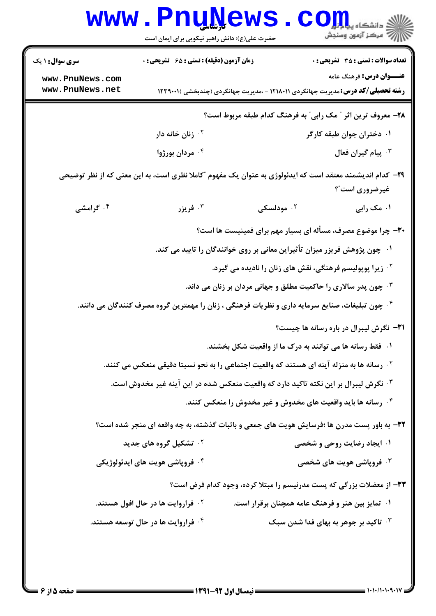|                        | <b>www.PnuNews</b><br>حضرت علی(ع): دانش راهبر نیکویی برای ایمان است                                        |                                                                           | دانشگاه پیام <mark>ب</mark> را<br>رآ - مرڪز آزمون وسنڊش                                                                    |
|------------------------|------------------------------------------------------------------------------------------------------------|---------------------------------------------------------------------------|----------------------------------------------------------------------------------------------------------------------------|
| <b>سری سوال : ۱ یک</b> | <b>زمان آزمون (دقیقه) : تستی : 65 ٪ تشریحی : 0</b>                                                         |                                                                           | <b>تعداد سوالات : تستی : 35 تشریحی : 0</b>                                                                                 |
| www.PnuNews.com        |                                                                                                            |                                                                           | <b>عنـــوان درس:</b> فرهنگ عامه                                                                                            |
| www.PnuNews.net        |                                                                                                            |                                                                           | <b>رشته تحصیلی/کد درس:</b> مدیریت جهانگردی ۱۲۱۸۰۱۱ - ،مدیریت جهانگردی (چندبخشی )۲۳۹۰۰۱ (                                   |
|                        |                                                                                                            |                                                                           | ۲۸- معروف ترین اثر ″ مک رابی″ به فرهنگ کدام طبقه مربوط است؟                                                                |
|                        | ۰۲ زنان خانه دار                                                                                           |                                                                           | ۰۱ دختران جوان طبقه کارگر                                                                                                  |
|                        | ۰۴ مردان بورژوا                                                                                            |                                                                           | ۰۳ پیام گیران فعال                                                                                                         |
|                        |                                                                                                            |                                                                           | ۲۹– کدام اندیشمند معتقد است که ایدئولوژی به عنوان یک مفهوم "کاملا نظری است، به این معنی که از نظر توضیحی<br>غیرضروری است"؟ |
| ۰۴ گرامشی              | فريزر $\cdot^{\mathsf{r}}$                                                                                 | ودلسکی $\cdot$ ۲                                                          | ۰۱ مک رابی                                                                                                                 |
|                        |                                                                                                            |                                                                           | ۳۰- چرا موضوع مصرف، مسأله ای بسیار مهم برای فمینیست ها است؟                                                                |
|                        |                                                                                                            | ۰۱ چون پژوهش فریزر میزان تأثیراین معانی بر روی خوانندگان را تایید می کند. |                                                                                                                            |
|                        |                                                                                                            | <sup>۲</sup> ۰ زیرا پوپولیسم فرهنگی، نقش های زنان را نادیده می گیرد.      |                                                                                                                            |
|                        |                                                                                                            | ۰۳ چون پدر سالاری را حاکمیت مطلق و جهانی مردان بر زنان می داند.           |                                                                                                                            |
|                        | <sup>۰۴</sup> چون تبلیغات، صنایع سرمایه داری و نظریات فرهنگی ، زنان را مهمترین گروه مصرف کنندگان می دانند. |                                                                           |                                                                                                                            |
|                        |                                                                                                            |                                                                           | ۳۱- نگرش لیبرال در باره رسانه ها چیست؟                                                                                     |
|                        |                                                                                                            | ۰۱ فقط رسانه ها می توانند به درک ما از واقعیت شکل بخشند.                  |                                                                                                                            |
|                        | <sup>۲</sup> ۰ رسانه ها به منزله آینه ای هستند که واقعیت اجتماعی را به نحو نسبتا دقیقی منعکس می کنند.      |                                                                           |                                                                                                                            |
|                        | ۰ <sup>۳ .</sup> نگرش لیبرال بر این نکته تاکید دارد که واقعیت منعکس شده در این آینه غیر مخدوش است.         |                                                                           |                                                                                                                            |
|                        |                                                                                                            | ۰۴ رسانه ها باید واقعیت های مخدوش و غیر مخدوش را منعکس کنند.              |                                                                                                                            |
|                        |                                                                                                            |                                                                           | 32- به باور پست مدرن ها ؛فرسایش هویت های جمعی و باثبات گذشته، به چه واقعه ای منجر شده است؟                                 |
|                        | <sup>۲.</sup> تشکیل گروه های جدید                                                                          |                                                                           | ۰۱ ایجاد رضایت روحی و شخصی                                                                                                 |
|                        | ۰۴ فروپاشي هويت هاي ايدئولوژيکي                                                                            |                                                                           | <b>4 . فروپاشی هویت های شخصی</b>                                                                                           |
|                        |                                                                                                            |                                                                           | ۳۳- از معضلات بزرگی که پست مدرنیسم را مبتلا کرده، وجود کدام فرض است؟                                                       |
|                        | <sup>۲ .</sup> فراروایت ها در حال افول هستند.                                                              |                                                                           | ۰۱ تمایز بین هنر و فرهنگ عامه همچنان برقرار است.                                                                           |
|                        | ۰ <sup>۴</sup> فراروایت ها در حال توسعه هستند.                                                             |                                                                           | ۰۳ تاکید بر جوهر به بهای فدا شدن سبک                                                                                       |
|                        |                                                                                                            |                                                                           |                                                                                                                            |